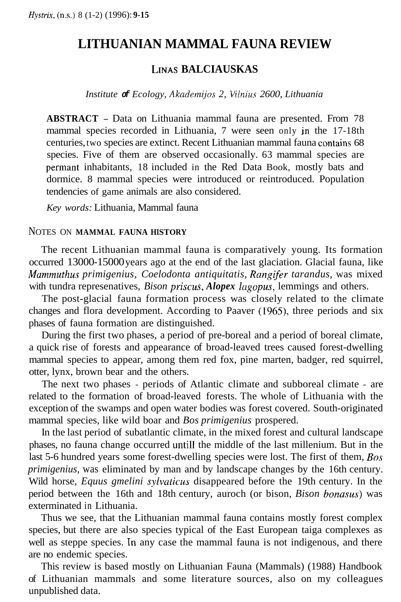# **LITHUANIAN MAMMAL FAUNA REVIEW**

### **LINAS BALCIAUSKAS**

*Institute of Ecology, Akademijos 2, Vilnius 2600, Lithuania* 

**ABSTRACT** - Data on Lithuania mammal fauna are presented. From 78 mammal species recorded in Lithuania, 7 were seen only in the 17-18th centuries, two species are extinct. Recent Lithuanian mammal fauna contains 68 species. Five of them are observed occasionally. 63 mammal species are permant inhabitants, 18 included in the Red Data Book, mostly bats and dormice. 8 mammal species were introduced or reintroduced. Population tendencies of game animals are also considered.

*Key words:* Lithuania, Mammal fauna

#### NOTES ON **MAMMAL FAUNA HISTORY**

The recent Lithuanian mammal fauna is comparatively young. Its formation occurred 13000-15000 years ago at the end of the last glaciation. Glacial fauna, like *Mummuthus primigenius, Coelodonta antiquitatis, Rangifer tarandus,* was mixed with tundra represenatives, *Bison priscus, Alopex lagopus*, lemmings and others.

The post-glacial fauna formation process was closely related to the climate changes and flora development. According to Paaver (1965), three periods and six phases of fauna formation are distinguished.

During the first two phases, a period of pre-boreal and a period of boreal climate, a quick rise of forests and appearance of broad-leaved trees caused forest-dwelling mammal species to appear, among them red fox, pine marten, badger, red squirrel, otter, lynx, brown bear and the others.

The next two phases - periods of Atlantic climate and subboreal climate - are related to the formation of broad-leaved forests. The whole of Lithuania with the exception of the swamps and open water bodies was forest covered. South-originated mammal species, like wild boar and *Bos primigenius* prospered.

In the last period of subatlantic climate, in the mixed forest and cultural landscape phases, no fauna change occurred until1 the middle of the last millenium. But in the last 5-6 hundred years some forest-dwelling species were lost. The first of them, *Bos primigenius,* was eliminated by man and by landscape changes by the 16th century. Wild horse, *Equus gmelini sylvaticus* disappeared before the 19th century. In the period between the 16th and 18th century, auroch (or bison, *Bison bonasus)* was exterminated in Lithuania.

Thus we see, that the Lithuanian mammal fauna contains mostly forest complex species, but there are also species typical of the East European taiga complexes as well as steppe species. In any case the mammal fauna is not indigenous, and there are no endemic species.

This review is based mostly on Lithuanian Fauna (Mammals) (1988) Handbook of Lithuanian mammals and some literature sources, also on my colleagues unpublished data.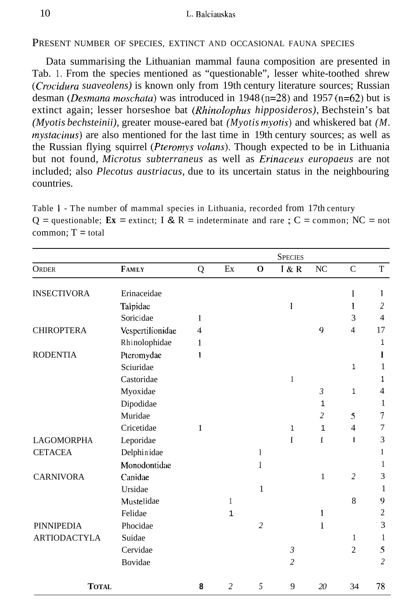PRESENT NUMBER OF SPECIES, EXTINCT AND OCCASIONAL FAUNA SPECIES

Data summarising the Lithuanian mammal fauna composition are presented in Tab. 1. From the species mentioned as "questionable", lesser white-toothed shrew *(Crocidura suaveolens)* is known only from 19th century literature sources; Russian desman *(Desmana moschatu)* was introduced in 1948 (n=28) and 1957 (n=62) but is extinct again; lesser horseshoe bat *(Rhinolophus hipposideros)*, Bechstein's bat *(Myotis bechsteinii),* greater mouse-eared bat *(Myotis myotis)* and whiskered bat *(M. mystacinus)* are also mentioned for the last time in 19th century sources; as well as the Russian flying squirrel *(Pteromys volans).* Though expected to be in Lithuania but not found, *Microtus subterraneus* as well as *Erinaceus europaeus* are not included; also *Plecotus austriacus,* due to its uncertain status in the neighbouring countries.

Table **1** - The number of mammal species in Lithuania, recorded from 17th century  $Q =$  questionable;  $\mathbf{Ex} =$  extinct; I & R = indeterminate and rare ; C = common; NC = not  $common: T = total$ 

|                     |                  |   |                |                | <b>SPECIES</b> |                |                |                |
|---------------------|------------------|---|----------------|----------------|----------------|----------------|----------------|----------------|
| <b>ORDER</b>        | FAMILY           | Q | Ex             | $\Omega$       | I & R          | NC             | $\mathbf C$    | T              |
|                     |                  |   |                |                |                |                |                |                |
| <b>INSECTIVORA</b>  | Erinaceidae      |   |                |                |                |                | 1              | 1              |
|                     | Talpidae         |   |                |                | 1              |                | 1              | $\overline{2}$ |
|                     | Soricidae        | 1 |                |                |                |                | 3              | $\overline{4}$ |
| <b>CHIROPTERA</b>   | Vespertilionidae | 4 |                |                |                | 9              | $\overline{4}$ | 17             |
|                     | Rhinolophidae    | 1 |                |                |                |                |                | 1              |
| <b>RODENTIA</b>     | Pteromydae       | 1 |                |                |                |                |                | l              |
|                     | Sciuridae        |   |                |                |                |                | 1              | 1              |
|                     | Castoridae       |   |                |                | 1              |                |                | 1              |
|                     | Myoxidae         |   |                |                |                | $\mathfrak{Z}$ | 1              | 4              |
|                     | Dipodidae        |   |                |                |                | 1              |                | $\mathbf{1}$   |
|                     | Muridae          |   |                |                |                | $\overline{c}$ | 5              | 7              |
|                     | Cricetidae       | 1 |                |                | 1              | 1              | $\overline{4}$ | 7              |
| <b>LAGOMORPHA</b>   | Leporidae        |   |                |                | I              | 1              | ı              | 3              |
| <b>CETACEA</b>      | Delphinidae      |   |                | 1              |                |                |                | 1              |
|                     | Monodontidae     |   |                | 1              |                |                |                | 1              |
| <b>CARNIVORA</b>    | Canidae          |   |                |                |                | 1              | $\overline{2}$ | 3              |
|                     | Ursidae          |   |                | $\mathbf{1}$   |                |                |                | 1              |
|                     | Mustelidae       |   | 1              |                |                |                | 8              | 9              |
|                     | Felidae          |   | 1              |                |                | $\mathbf{1}$   |                | $\overline{c}$ |
| <b>PINNIPEDIA</b>   | Phocidae         |   |                | $\overline{c}$ |                | 1              |                | 3              |
| <b>ARTIODACTYLA</b> | Suidae           |   |                |                |                |                | 1              | 1              |
|                     | Cervidae         |   |                |                | $\mathfrak{Z}$ |                | $\mathfrak{2}$ | 5              |
|                     | Bovidae          |   |                |                | $\overline{c}$ |                |                | $\overline{c}$ |
| <b>TOTAL</b>        |                  | 8 | $\overline{c}$ | 5              | 9              | 20             | 34             | 78             |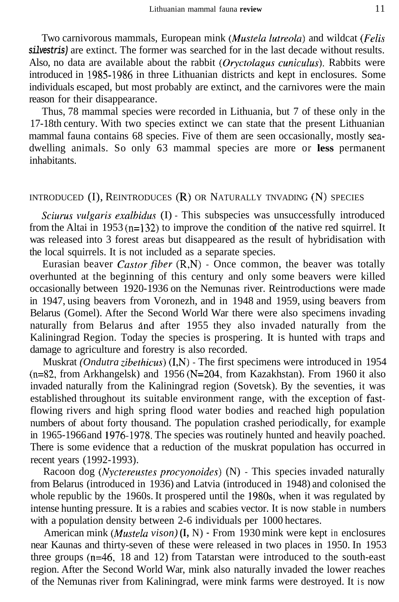Two carnivorous mammals, European mink *(Mustela lutreola)* and wildcat *(Felis silvestris)* are extinct. The former was searched for in the last decade without results. Also, no data are available about the rabbit *(Oryctolagus cuniculus).* Rabbits were introduced in 1985-1986 in three Lithuanian districts and kept in enclosures. Some individuals escaped, but most probably are extinct, and the carnivores were the main reason for their disappearance.

Thus, 78 mammal species were recorded in Lithuania, but 7 of these only in the 17-18th century. With two species extinct we can state that the present Lithuanian mammal fauna contains 68 species. Five of them are seen occasionally, mostly seadwelling animals. So only 63 mammal species are more or **less** permanent inhabitants.

### INTRODUCED (I), REINTRODUCES **(R)** OR NATURALLY TNVADING (N) SPECIES

*Sciurus vulgaris exalhidus* (I) - This subspecies was unsuccessfully introduced from the Altai in 1953 ( $n=132$ ) to improve the condition of the native red squirrel. It was released into 3 forest areas but disappeared as the result of hybridisation with the local squirrels. It is not included as a separate species.

Eurasian beaver *Castor fiber* (R,N) - Once common, the beaver was totally overhunted at the beginning of this century and only some beavers were killed occasionally between 1920-1936 on the Nemunas river. Reintroductions were made in 1947, using beavers from Voronezh, and in 1948 and 1959, using beavers from Belarus (Gomel). After the Second World War there were also specimens invading naturally from Belarus and after 1955 they also invaded naturally from the Kaliningrad Region. Today the species is prospering. It is hunted with traps and damage to agriculture and forestry is also recorded.

Muskrat *(Ondutra zibethicus)* (I,N) - The first specimens were introduced in 1954 (n=82, from Arkhangelsk) and 1956 (N=204, from Kazakhstan). From 1960 it also invaded naturally from the Kaliningrad region (Sovetsk). By the seventies, it was established throughout its suitable environment range, with the exception of fastflowing rivers and high spring flood water bodies and reached high population numbers of about forty thousand. The population crashed periodically, for example in 1965-1966 and 1976-1978. The species was routinely hunted and heavily poached. There is some evidence that a reduction of the muskrat population has occurred in recent years (1992-1993).

Racoon dog *(Nyctereustes procyonoides)* (N) - This species invaded naturally from Belarus (introduced in 1936) and Latvia (introduced in 1948) and colonised the whole republic by the 1960s. It prospered until the 1980s, when it was regulated by intense hunting pressure. It is a rabies and scabies vector. It is now stable in numbers with a population density between 2-6 individuals per 1000 hectares.

American mink *(Mustela vison)* **(I, N)** - From 1930 mink were kept in enclosures near Kaunas and thirty-seven of these were released in two places in 1950. In 1953 three groups (n=46, 18 and 12) from Tatarstan were introduced to the south-east region. After the Second World War, mink also naturally invaded the lower reaches of the Nemunas river from Kaliningrad, were mink farms were destroyed. It is now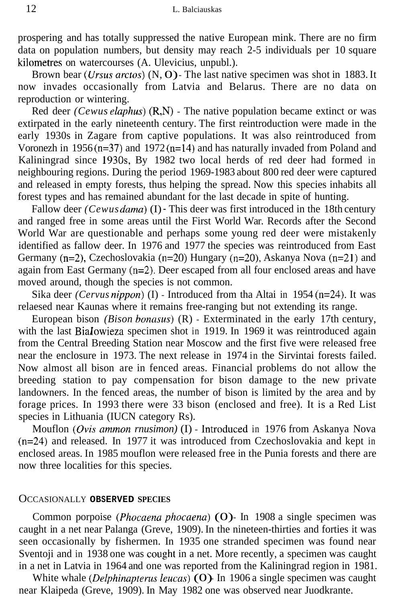prospering and has totally suppressed the native European mink. There are no firm data on population numbers, but density may reach 2-5 individuals per 10 square kilometres on watercourses (A. Ulevicius, unpubl.).

Brown bear *(Ursus arctos)* (N, O) - The last native specimen was shot in 1883. It now invades occasionally from Latvia and Belarus. There are no data on reproduction or wintering.

Red deer *(Cewus elaphus)* (R,N) - The native population became extinct or was extirpated in the early nineteenth century. The first reintroduction were made in the early 1930s in Zagare from captive populations. It was also reintroduced from Voronezh in 1956 $(n=37)$  and 1972 $(n=14)$  and has naturally invaded from Poland and Kaliningrad since 1930s, By 1982 two local herds of red deer had formed in neighbouring regions. During the period 1969-1983 about 800 red deer were captured and released in empty forests, thus helping the spread. Now this species inhabits all forest types and has remained abundant for the last decade in spite of hunting.

Fallow deer *(Cewus dama)* **(I)** - This deer was first introduced in the 18th century and ranged free in some areas until the First World War. Records after the Second World War are questionable and perhaps some young red deer were mistakenly identified as fallow deer. In 1976 and 1977 the species was reintroduced from East Germany (n=2), Czechoslovakia (n=20) Hungary (n=20), Askanya Nova (n=21) and again from East Germany (n=2). Deer escaped from all four enclosed areas and have moved around, though the species is not common.

Sika deer *(Cervus nippon*) **(I)** - Introduced from tha Altai in 1954 (n=24). It was relaesed near Kaunas where it remains free-ranging but not extending its range.

European bison *(Bison bonasus)* (R) - Exterminated in the early 17th century, with the last Bialowieza specimen shot in 1919. In 1969 it was reintroduced again from the Central Breeding Station near Moscow and the first five were released free near the enclosure in 1973. The next release in 1974 in the Sirvintai forests failed. Now almost all bison are in fenced areas. Financial problems do not allow the breeding station to pay compensation for bison damage to the new private landowners. In the fenced areas, the number of bison is limited by the area and by forage prices. In 1993 there were 33 bison (enclosed and free). It is a Red List species in Lithuania (IUCN category Rs).

Mouflon (Ovis ammon rnusimon) (I) - Introduced in 1976 from Askanya Nova (n=24) and released. In 1977 it was introduced from Czechoslovakia and kept in enclosed areas. In 1985 mouflon were released free in the Punia forests and there are now three localities for this species.

#### OCCASIONALLY **OBSERVED SPECIES**

Common porpoise *(Phocaena phocaena)* **(O)**- In 1908 a single specimen was caught in a net near Palanga (Greve, 1909). In the nineteen-thirties and forties it was seen occasionally by fishermen. In 1935 one stranded specimen was found near Sventoji and in 1938 one was cought in a net. More recently, a specimen was caught in a net in Latvia in 1964 and one was reported from the Kaliningrad region in 1981.

White whale *(Delphinapterus leucas)* **(O)** In 1906 a single specimen was caught near Klaipeda (Greve, 1909). In May 1982 one was observed near Juodkrante.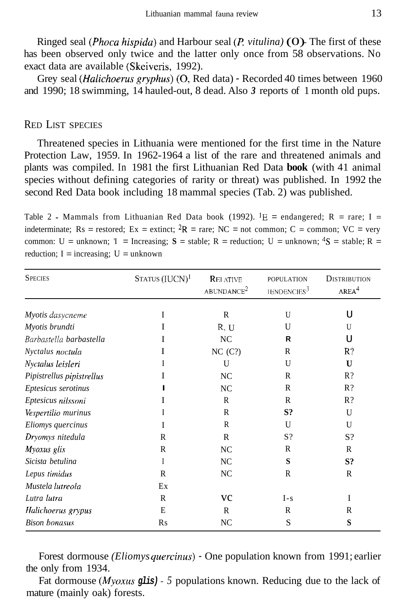Ringed seal *(Phoca hispida)* and Harbour seal *(P vitulina)* (0) - The first of these has been observed only twice and the latter only once from 58 observations. No exact data are available (Skeiveris, 1992).

Grey seal *(Halichoerus gryphus)* (0, Red data) - Recorded 40 times between 1960 and 1990; 18 swimming, 14 hauled-out, 8 dead. Also *3* reports of 1 month old pups.

#### RED LIST SPECIES

Threatened species in Lithuania were mentioned for the first time in the Nature Protection Law, 1959. In 1962-1964 a list of the rare and threatened animals and plants was compiled. In 1981 the first Lithuanian Red Data **book** (with 41 animal species without defining categories of rarity or threat) was published. In 1992 the second Red Data book including 18 mammal species (Tab. 2) was published.

Table 2 - Mammals from Lithuanian Red Data book (1992). <sup>1</sup>E = endangered; R = rare; I = indeterminate;  $Rs =$  restored;  $Ex =$  extinct;  ${}^{2}R =$  rare;  $NC =$  not common;  $C =$  common;  $VC =$  very common: U = unknown; T = Increasing; S = stable; R = reduction; U = unknown;  ${}^4S$  = stable; R = reduction;  $I = increasing$ ;  $U = unknown$ 

| <b>SPECIES</b>            | STATUS (IUCN) <sup>1</sup> | <b>RELATIVE</b><br>ABUNDANCE <sup>2</sup> | <b>POPULATION</b><br>IENDENCIES <sup>3</sup> | <b>DISTRIBUTION</b><br>AREA <sup>4</sup> |  |
|---------------------------|----------------------------|-------------------------------------------|----------------------------------------------|------------------------------------------|--|
|                           | I                          | R                                         | U                                            | U                                        |  |
| Myotis dasycneme          |                            |                                           | U                                            | U                                        |  |
| Myotis brundti            | Ι                          | R, U                                      |                                              |                                          |  |
| Barbastella barbastella   | Ι                          | NC                                        | R                                            | U                                        |  |
| Nyctalus noctula          | I                          | NC(C?)                                    | R                                            | R?                                       |  |
| Nyctalus leisleri         | I                          | U                                         | U                                            | $\mathbf{U}$                             |  |
| Pipistrellus pipistrellus | I                          | NC                                        | R                                            | $R$ ?                                    |  |
| Eptesicus serotinus       |                            | NC                                        | R                                            | $R$ ?                                    |  |
| Eptesicus nilssoni        | I                          | R                                         | R                                            | $R$ ?                                    |  |
| Vespertilio murinus       | I                          | R                                         | S?                                           | $\mathbf{U}$                             |  |
| Eliomys quercinus         | I                          | R                                         | U                                            | $\mathbf{U}$                             |  |
| Dryomys nitedula          | R                          | $\mathsf{R}$                              | S?                                           | $S$ ?                                    |  |
| Myoxus glis               | R                          | NC.                                       | R                                            | R                                        |  |
| Sicista betulina          | I                          | NC                                        | S                                            | S?                                       |  |
| Lepus timidus             | R                          | NC                                        | R                                            | R                                        |  |
| Mustela lutreola          | Ex                         |                                           |                                              |                                          |  |
| Lutra lutra               | R                          | <b>VC</b>                                 | $I - s$                                      | I                                        |  |
| Halichoerus grypus        | E                          | R                                         | R                                            | R                                        |  |
| <b>Bison bonasus</b>      | R <sub>S</sub>             | NC                                        | S                                            | S                                        |  |

Forest dormouse *(Eliomys quercinus)* - One population known from 1991; earlier the only from 1934.

Fat dormouse *(Myoxus glis)* - *5* populations known. Reducing due to the lack of mature (mainly oak) forests.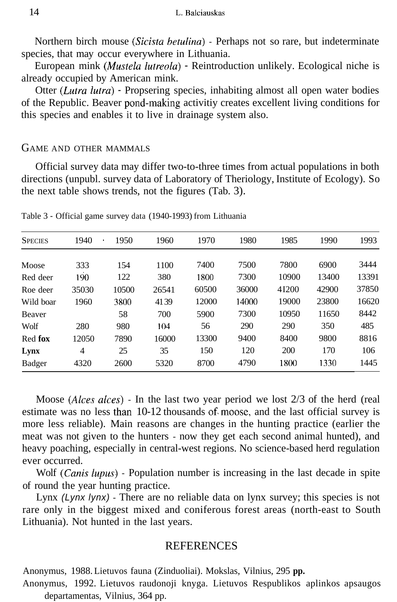Northern birch mouse *(Sicista betulina)* - Perhaps not so rare, but indeterminate species, that may occur everywhere in Lithuania.

European mink *(Mustela lutreola)* - Reintroduction unlikely. Ecological niche is already occupied by American mink.

Otter *(Lutra lutra)* - Propsering species, inhabiting almost all open water bodies of the Republic. Beaver pond-making activitiy creates excellent living conditions for this species and enables it to live in drainage system also.

#### GAME AND OTHER MAMMALS

Official survey data may differ two-to-three times from actual populations in both directions (unpubl. survey data of Laboratory of Theriology, Institute of Ecology). So the next table shows trends, not the figures (Tab. 3).

| <b>SPECIES</b> | 1940  | 1950<br>$\bullet$ | 1960  | 1970  | 1980  | 1985  | 1990  | 1993  |
|----------------|-------|-------------------|-------|-------|-------|-------|-------|-------|
| Moose          | 333   | 154               | 1100  | 7400  | 7500  | 7800  | 6900  | 3444  |
| Red deer       | 190   | 122               | 380   | 1800  | 7300  | 10900 | 13400 | 13391 |
| Roe deer       | 35030 | 10500             | 26541 | 60500 | 36000 | 41200 | 42900 | 37850 |
| Wild boar      | 1960  | 3800              | 4139  | 12000 | 14000 | 19000 | 23800 | 16620 |
| Beaver         |       | 58                | 700   | 5900  | 7300  | 10950 | 11650 | 8442  |
| Wolf           | 280   | 980               | 104   | 56    | 290   | 290   | 350   | 485   |
| Red fox        | 12050 | 7890              | 16000 | 13300 | 9400  | 8400  | 9800  | 8816  |
| Lynx           | 4     | 25                | 35    | 150   | 120   | 200   | 170   | 106   |
| Badger         | 4320  | 2600              | 5320  | 8700  | 4790  | 1800  | 1330  | 1445  |
|                |       |                   |       |       |       |       |       |       |

Table 3 - Official game survey data (1940-1993) from Lithuania

Moose *(Alces alces)* - In the last two year period we lost 2/3 of the herd (real estimate was no less than 10-12 thousands of moose, and the last official survey is more less reliable). Main reasons are changes in the hunting practice (earlier the meat was not given to the hunters - now they get each second animal hunted), and heavy poaching, especially in central-west regions. No science-based herd regulation ever occurred.

Wolf *(Canis lupus)* - Population number is increasing in the last decade in spite of round the year hunting practice.

Lynx *(Lynx lynx)* - There are no reliable data on lynx survey; this species is not rare only in the biggest mixed and coniferous forest areas (north-east to South Lithuania). Not hunted in the last years.

## **REFERENCES**

Anonymus, 1988. Lietuvos fauna (Zinduoliai). Mokslas, Vilnius, 295 **pp.** 

Anonymus, 1992. Lietuvos raudonoji knyga. Lietuvos Respublikos aplinkos apsaugos departamentas, Vilnius, 364 pp.